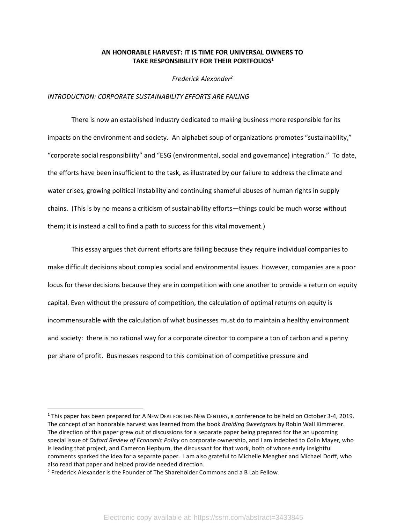# **AN HONORABLE HARVEST: IT IS TIME FOR UNIVERSAL OWNERS TO TAKE RESPONSIBILITY FOR THEIR PORTFOLIOS<sup>1</sup>**

*Frederick Alexander<sup>2</sup>*

### *INTRODUCTION: CORPORATE SUSTAINABILITY EFFORTS ARE FAILING*

There is now an established industry dedicated to making business more responsible for its impacts on the environment and society. An alphabet soup of organizations promotes "sustainability," "corporate social responsibility" and "ESG (environmental, social and governance) integration." To date, the efforts have been insufficient to the task, as illustrated by our failure to address the climate and water crises, growing political instability and continuing shameful abuses of human rights in supply chains. (This is by no means a criticism of sustainability efforts—things could be much worse without them; it is instead a call to find a path to success for this vital movement.)

This essay argues that current efforts are failing because they require individual companies to make difficult decisions about complex social and environmental issues. However, companies are a poor locus for these decisions because they are in competition with one another to provide a return on equity capital. Even without the pressure of competition, the calculation of optimal returns on equity is incommensurable with the calculation of what businesses must do to maintain a healthy environment and society: there is no rational way for a corporate director to compare a ton of carbon and a penny per share of profit. Businesses respond to this combination of competitive pressure and

<sup>1</sup> This paper has been prepared for A NEW DEAL FOR THIS NEW CENTURY, a conference to be held on October 3-4, 2019. The concept of an honorable harvest was learned from the book *Braiding Sweetgrass* by Robin Wall Kimmerer. The direction of this paper grew out of discussions for a separate paper being prepared for the an upcoming special issue of *Oxford Review of Economic Policy* on corporate ownership, and I am indebted to Colin Mayer, who is leading that project, and Cameron Hepburn, the discussant for that work, both of whose early insightful comments sparked the idea for a separate paper. I am also grateful to Michelle Meagher and Michael Dorff, who also read that paper and helped provide needed direction.

<sup>&</sup>lt;sup>2</sup> Frederick Alexander is the Founder of The Shareholder Commons and a B Lab Fellow.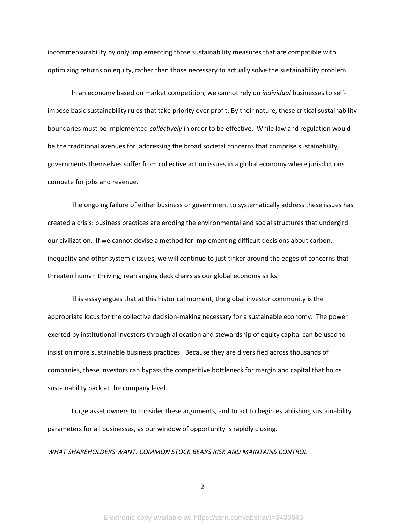incommensurability by only implementing those sustainability measures that are compatible with optimizing returns on equity, rather than those necessary to actually solve the sustainability problem.

In an economy based on market competition, we cannot rely on *individual* businesses to selfimpose basic sustainability rules that take priority over profit. By their nature, these critical sustainability boundaries must be implemented *collectively* in order to be effective. While law and regulation would be the traditional avenues for addressing the broad societal concerns that comprise sustainability, governments themselves suffer from collective action issues in a global economy where jurisdictions compete for jobs and revenue.

The ongoing failure of either business or government to systematically address these issues has created a crisis: business practices are eroding the environmental and social structures that undergird our civilization. If we cannot devise a method for implementing difficult decisions about carbon, inequality and other systemic issues, we will continue to just tinker around the edges of concerns that threaten human thriving, rearranging deck chairs as our global economy sinks.

This essay argues that at this historical moment, the global investor community is the appropriate locus for the collective decision-making necessary for a sustainable economy. The power exerted by institutional investors through allocation and stewardship of equity capital can be used to insist on more sustainable business practices. Because they are diversified across thousands of companies, these investors can bypass the competitive bottleneck for margin and capital that holds sustainability back at the company level.

I urge asset owners to consider these arguments, and to act to begin establishing sustainability parameters for all businesses, as our window of opportunity is rapidly closing.

*WHAT SHAREHOLDERS WANT: COMMON STOCK BEARS RISK AND MAINTAINS CONTROL*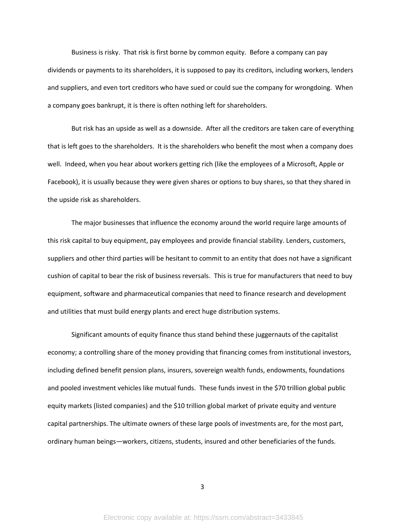Business is risky. That risk is first borne by common equity. Before a company can pay dividends or payments to its shareholders, it is supposed to pay its creditors, including workers, lenders and suppliers, and even tort creditors who have sued or could sue the company for wrongdoing. When a company goes bankrupt, it is there is often nothing left for shareholders.

But risk has an upside as well as a downside. After all the creditors are taken care of everything that is left goes to the shareholders. It is the shareholders who benefit the most when a company does well. Indeed, when you hear about workers getting rich (like the employees of a Microsoft, Apple or Facebook), it is usually because they were given shares or options to buy shares, so that they shared in the upside risk as shareholders.

The major businesses that influence the economy around the world require large amounts of this risk capital to buy equipment, pay employees and provide financial stability. Lenders, customers, suppliers and other third parties will be hesitant to commit to an entity that does not have a significant cushion of capital to bear the risk of business reversals. This is true for manufacturers that need to buy equipment, software and pharmaceutical companies that need to finance research and development and utilities that must build energy plants and erect huge distribution systems.

Significant amounts of equity finance thus stand behind these juggernauts of the capitalist economy; a controlling share of the money providing that financing comes from institutional investors, including defined benefit pension plans, insurers, sovereign wealth funds, endowments, foundations and pooled investment vehicles like mutual funds. These funds invest in the \$70 trillion global public equity markets (listed companies) and the \$10 trillion global market of private equity and venture capital partnerships. The ultimate owners of these large pools of investments are, for the most part, ordinary human beings—workers, citizens, students, insured and other beneficiaries of the funds.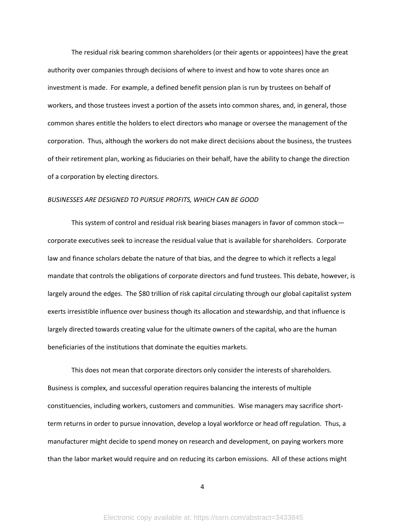The residual risk bearing common shareholders (or their agents or appointees) have the great authority over companies through decisions of where to invest and how to vote shares once an investment is made. For example, a defined benefit pension plan is run by trustees on behalf of workers, and those trustees invest a portion of the assets into common shares, and, in general, those common shares entitle the holders to elect directors who manage or oversee the management of the corporation. Thus, although the workers do not make direct decisions about the business, the trustees of their retirement plan, working as fiduciaries on their behalf, have the ability to change the direction of a corporation by electing directors.

### *BUSINESSES ARE DESIGNED TO PURSUE PROFITS, WHICH CAN BE GOOD*

This system of control and residual risk bearing biases managers in favor of common stock corporate executives seek to increase the residual value that is available for shareholders. Corporate law and finance scholars debate the nature of that bias, and the degree to which it reflects a legal mandate that controls the obligations of corporate directors and fund trustees. This debate, however, is largely around the edges. The \$80 trillion of risk capital circulating through our global capitalist system exerts irresistible influence over business though its allocation and stewardship, and that influence is largely directed towards creating value for the ultimate owners of the capital, who are the human beneficiaries of the institutions that dominate the equities markets.

This does not mean that corporate directors only consider the interests of shareholders. Business is complex, and successful operation requires balancing the interests of multiple constituencies, including workers, customers and communities. Wise managers may sacrifice shortterm returns in order to pursue innovation, develop a loyal workforce or head off regulation. Thus, a manufacturer might decide to spend money on research and development, on paying workers more than the labor market would require and on reducing its carbon emissions. All of these actions might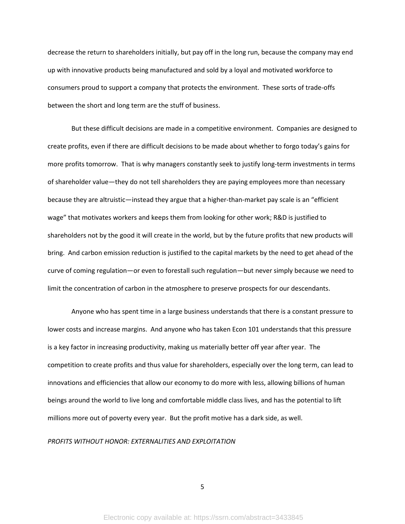decrease the return to shareholders initially, but pay off in the long run, because the company may end up with innovative products being manufactured and sold by a loyal and motivated workforce to consumers proud to support a company that protects the environment. These sorts of trade-offs between the short and long term are the stuff of business.

But these difficult decisions are made in a competitive environment. Companies are designed to create profits, even if there are difficult decisions to be made about whether to forgo today's gains for more profits tomorrow. That is why managers constantly seek to justify long-term investments in terms of shareholder value—they do not tell shareholders they are paying employees more than necessary because they are altruistic—instead they argue that a higher-than-market pay scale is an "efficient wage" that motivates workers and keeps them from looking for other work; R&D is justified to shareholders not by the good it will create in the world, but by the future profits that new products will bring. And carbon emission reduction is justified to the capital markets by the need to get ahead of the curve of coming regulation—or even to forestall such regulation—but never simply because we need to limit the concentration of carbon in the atmosphere to preserve prospects for our descendants.

Anyone who has spent time in a large business understands that there is a constant pressure to lower costs and increase margins. And anyone who has taken Econ 101 understands that this pressure is a key factor in increasing productivity, making us materially better off year after year. The competition to create profits and thus value for shareholders, especially over the long term, can lead to innovations and efficiencies that allow our economy to do more with less, allowing billions of human beings around the world to live long and comfortable middle class lives, and has the potential to lift millions more out of poverty every year. But the profit motive has a dark side, as well.

### *PROFITS WITHOUT HONOR: EXTERNALITIES AND EXPLOITATION*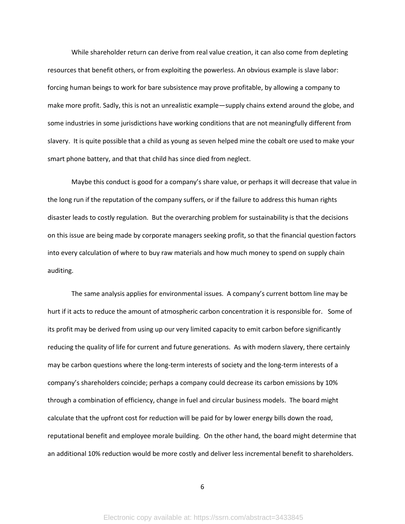While shareholder return can derive from real value creation, it can also come from depleting resources that benefit others, or from exploiting the powerless. An obvious example is slave labor: forcing human beings to work for bare subsistence may prove profitable, by allowing a company to make more profit. Sadly, this is not an unrealistic example—supply chains extend around the globe, and some industries in some jurisdictions have working conditions that are not meaningfully different from slavery. It is quite possible that a child as young as seven helped mine the cobalt ore used to make your smart phone battery, and that that child has since died from neglect.

Maybe this conduct is good for a company's share value, or perhaps it will decrease that value in the long run if the reputation of the company suffers, or if the failure to address this human rights disaster leads to costly regulation. But the overarching problem for sustainability is that the decisions on this issue are being made by corporate managers seeking profit, so that the financial question factors into every calculation of where to buy raw materials and how much money to spend on supply chain auditing.

The same analysis applies for environmental issues. A company's current bottom line may be hurt if it acts to reduce the amount of atmospheric carbon concentration it is responsible for. Some of its profit may be derived from using up our very limited capacity to emit carbon before significantly reducing the quality of life for current and future generations. As with modern slavery, there certainly may be carbon questions where the long-term interests of society and the long-term interests of a company's shareholders coincide; perhaps a company could decrease its carbon emissions by 10% through a combination of efficiency, change in fuel and circular business models. The board might calculate that the upfront cost for reduction will be paid for by lower energy bills down the road, reputational benefit and employee morale building. On the other hand, the board might determine that an additional 10% reduction would be more costly and deliver less incremental benefit to shareholders.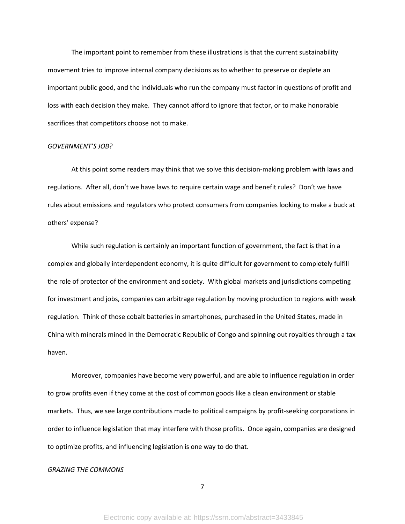The important point to remember from these illustrations is that the current sustainability movement tries to improve internal company decisions as to whether to preserve or deplete an important public good, and the individuals who run the company must factor in questions of profit and loss with each decision they make. They cannot afford to ignore that factor, or to make honorable sacrifices that competitors choose not to make.

# *GOVERNMENT'S JOB?*

At this point some readers may think that we solve this decision-making problem with laws and regulations. After all, don't we have laws to require certain wage and benefit rules? Don't we have rules about emissions and regulators who protect consumers from companies looking to make a buck at others' expense?

While such regulation is certainly an important function of government, the fact is that in a complex and globally interdependent economy, it is quite difficult for government to completely fulfill the role of protector of the environment and society. With global markets and jurisdictions competing for investment and jobs, companies can arbitrage regulation by moving production to regions with weak regulation. Think of those cobalt batteries in smartphones, purchased in the United States, made in China with minerals mined in the Democratic Republic of Congo and spinning out royalties through a tax haven.

Moreover, companies have become very powerful, and are able to influence regulation in order to grow profits even if they come at the cost of common goods like a clean environment or stable markets. Thus, we see large contributions made to political campaigns by profit-seeking corporations in order to influence legislation that may interfere with those profits. Once again, companies are designed to optimize profits, and influencing legislation is one way to do that.

### *GRAZING THE COMMONS*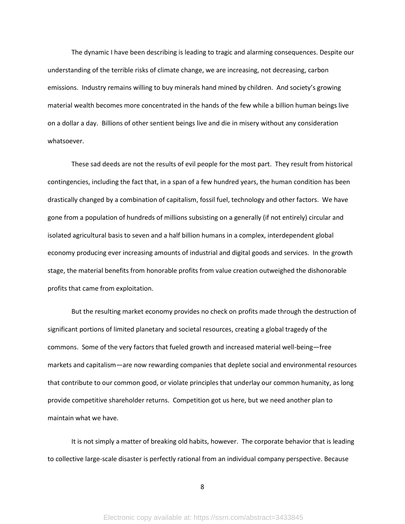The dynamic I have been describing is leading to tragic and alarming consequences. Despite our understanding of the terrible risks of climate change, we are increasing, not decreasing, carbon emissions. Industry remains willing to buy minerals hand mined by children. And society's growing material wealth becomes more concentrated in the hands of the few while a billion human beings live on a dollar a day. Billions of other sentient beings live and die in misery without any consideration whatsoever.

These sad deeds are not the results of evil people for the most part. They result from historical contingencies, including the fact that, in a span of a few hundred years, the human condition has been drastically changed by a combination of capitalism, fossil fuel, technology and other factors. We have gone from a population of hundreds of millions subsisting on a generally (if not entirely) circular and isolated agricultural basis to seven and a half billion humans in a complex, interdependent global economy producing ever increasing amounts of industrial and digital goods and services. In the growth stage, the material benefits from honorable profits from value creation outweighed the dishonorable profits that came from exploitation.

But the resulting market economy provides no check on profits made through the destruction of significant portions of limited planetary and societal resources, creating a global tragedy of the commons. Some of the very factors that fueled growth and increased material well-being—free markets and capitalism—are now rewarding companies that deplete social and environmental resources that contribute to our common good, or violate principles that underlay our common humanity, as long provide competitive shareholder returns. Competition got us here, but we need another plan to maintain what we have.

It is not simply a matter of breaking old habits, however. The corporate behavior that is leading to collective large-scale disaster is perfectly rational from an individual company perspective. Because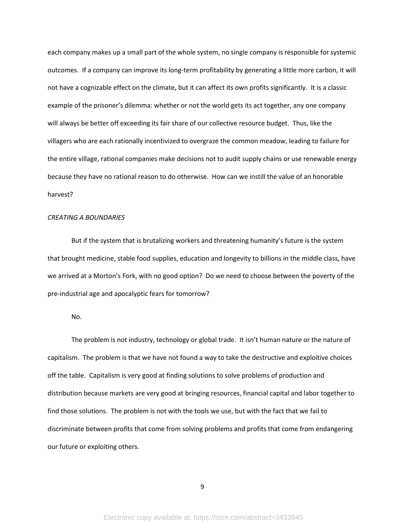each company makes up a small part of the whole system, no single company is responsible for systemic outcomes. If a company can improve its long-term profitability by generating a little more carbon, it will not have a cognizable effect on the climate, but it can affect its own profits significantly. It is a classic example of the prisoner's dilemma: whether or not the world gets its act together, any one company will always be better off exceeding its fair share of our collective resource budget. Thus, like the villagers who are each rationally incentivized to overgraze the common meadow, leading to failure for the entire village, rational companies make decisions not to audit supply chains or use renewable energy because they have no rational reason to do otherwise. How can we instill the value of an honorable harvest?

### *CREATING A BOUNDARIES*

But if the system that is brutalizing workers and threatening humanity's future is the system that brought medicine, stable food supplies, education and longevity to billions in the middle class, have we arrived at a Morton's Fork, with no good option? Do we need to choose between the poverty of the pre-industrial age and apocalyptic fears for tomorrow?

No.

The problem is not industry, technology or global trade. It isn't human nature or the nature of capitalism. The problem is that we have not found a way to take the destructive and exploitive choices off the table. Capitalism is very good at finding solutions to solve problems of production and distribution because markets are very good at bringing resources, financial capital and labor together to find those solutions. The problem is not with the tools we use, but with the fact that we fail to discriminate between profits that come from solving problems and profits that come from endangering our future or exploiting others.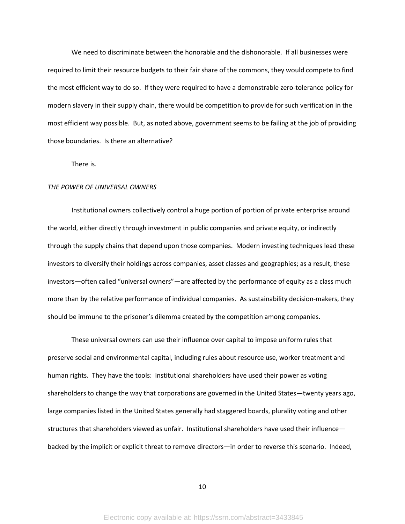We need to discriminate between the honorable and the dishonorable. If all businesses were required to limit their resource budgets to their fair share of the commons, they would compete to find the most efficient way to do so. If they were required to have a demonstrable zero-tolerance policy for modern slavery in their supply chain, there would be competition to provide for such verification in the most efficient way possible. But, as noted above, government seems to be failing at the job of providing those boundaries. Is there an alternative?

There is.

### *THE POWER OF UNIVERSAL OWNERS*

Institutional owners collectively control a huge portion of portion of private enterprise around the world, either directly through investment in public companies and private equity, or indirectly through the supply chains that depend upon those companies. Modern investing techniques lead these investors to diversify their holdings across companies, asset classes and geographies; as a result, these investors—often called "universal owners"—are affected by the performance of equity as a class much more than by the relative performance of individual companies. As sustainability decision-makers, they should be immune to the prisoner's dilemma created by the competition among companies.

These universal owners can use their influence over capital to impose uniform rules that preserve social and environmental capital, including rules about resource use, worker treatment and human rights. They have the tools: institutional shareholders have used their power as voting shareholders to change the way that corporations are governed in the United States—twenty years ago, large companies listed in the United States generally had staggered boards, plurality voting and other structures that shareholders viewed as unfair. Institutional shareholders have used their influence backed by the implicit or explicit threat to remove directors—in order to reverse this scenario. Indeed,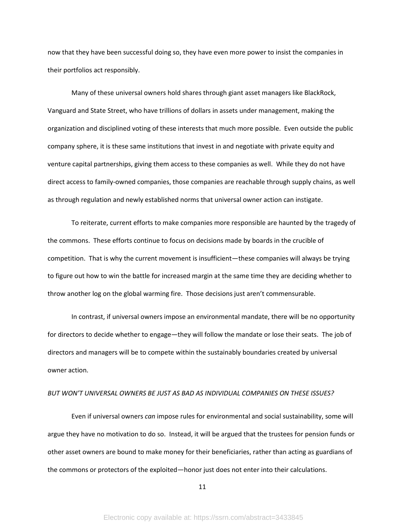now that they have been successful doing so, they have even more power to insist the companies in their portfolios act responsibly.

Many of these universal owners hold shares through giant asset managers like BlackRock, Vanguard and State Street, who have trillions of dollars in assets under management, making the organization and disciplined voting of these interests that much more possible. Even outside the public company sphere, it is these same institutions that invest in and negotiate with private equity and venture capital partnerships, giving them access to these companies as well. While they do not have direct access to family-owned companies, those companies are reachable through supply chains, as well as through regulation and newly established norms that universal owner action can instigate.

To reiterate, current efforts to make companies more responsible are haunted by the tragedy of the commons. These efforts continue to focus on decisions made by boards in the crucible of competition. That is why the current movement is insufficient—these companies will always be trying to figure out how to win the battle for increased margin at the same time they are deciding whether to throw another log on the global warming fire. Those decisions just aren't commensurable.

In contrast, if universal owners impose an environmental mandate, there will be no opportunity for directors to decide whether to engage—they will follow the mandate or lose their seats. The job of directors and managers will be to compete within the sustainably boundaries created by universal owner action.

## *BUT WON'T UNIVERSAL OWNERS BE JUST AS BAD AS INDIVIDUAL COMPANIES ON THESE ISSUES?*

Even if universal owners *can* impose rules for environmental and social sustainability, some will argue they have no motivation to do so. Instead, it will be argued that the trustees for pension funds or other asset owners are bound to make money for their beneficiaries, rather than acting as guardians of the commons or protectors of the exploited—honor just does not enter into their calculations.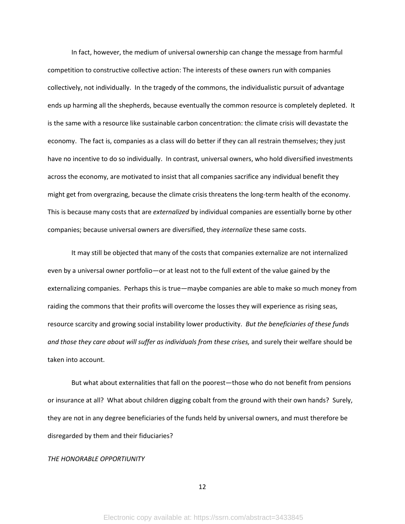In fact, however, the medium of universal ownership can change the message from harmful competition to constructive collective action: The interests of these owners run with companies collectively, not individually. In the tragedy of the commons, the individualistic pursuit of advantage ends up harming all the shepherds, because eventually the common resource is completely depleted. It is the same with a resource like sustainable carbon concentration: the climate crisis will devastate the economy. The fact is, companies as a class will do better if they can all restrain themselves; they just have no incentive to do so individually. In contrast, universal owners, who hold diversified investments across the economy, are motivated to insist that all companies sacrifice any individual benefit they might get from overgrazing, because the climate crisis threatens the long-term health of the economy. This is because many costs that are *externalized* by individual companies are essentially borne by other companies; because universal owners are diversified, they *internalize* these same costs.

It may still be objected that many of the costs that companies externalize are not internalized even by a universal owner portfolio—or at least not to the full extent of the value gained by the externalizing companies. Perhaps this is true—maybe companies are able to make so much money from raiding the commons that their profits will overcome the losses they will experience as rising seas, resource scarcity and growing social instability lower productivity. *But the beneficiaries of these funds and those they care about will suffer as individuals from these crises,* and surely their welfare should be taken into account.

But what about externalities that fall on the poorest—those who do not benefit from pensions or insurance at all? What about children digging cobalt from the ground with their own hands? Surely, they are not in any degree beneficiaries of the funds held by universal owners, and must therefore be disregarded by them and their fiduciaries?

### *THE HONORABLE OPPORTIUNITY*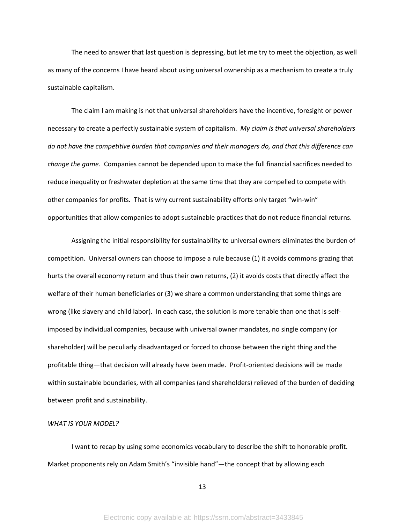The need to answer that last question is depressing, but let me try to meet the objection, as well as many of the concerns I have heard about using universal ownership as a mechanism to create a truly sustainable capitalism.

The claim I am making is not that universal shareholders have the incentive, foresight or power necessary to create a perfectly sustainable system of capitalism. *My claim is that universal shareholders do not have the competitive burden that companies and their managers do, and that this difference can change the game.* Companies cannot be depended upon to make the full financial sacrifices needed to reduce inequality or freshwater depletion at the same time that they are compelled to compete with other companies for profits. That is why current sustainability efforts only target "win-win" opportunities that allow companies to adopt sustainable practices that do not reduce financial returns.

Assigning the initial responsibility for sustainability to universal owners eliminates the burden of competition. Universal owners can choose to impose a rule because (1) it avoids commons grazing that hurts the overall economy return and thus their own returns, (2) it avoids costs that directly affect the welfare of their human beneficiaries or (3) we share a common understanding that some things are wrong (like slavery and child labor). In each case, the solution is more tenable than one that is selfimposed by individual companies, because with universal owner mandates, no single company (or shareholder) will be peculiarly disadvantaged or forced to choose between the right thing and the profitable thing—that decision will already have been made. Profit-oriented decisions will be made within sustainable boundaries, with all companies (and shareholders) relieved of the burden of deciding between profit and sustainability.

### *WHAT IS YOUR MODEL?*

I want to recap by using some economics vocabulary to describe the shift to honorable profit. Market proponents rely on Adam Smith's "invisible hand"—the concept that by allowing each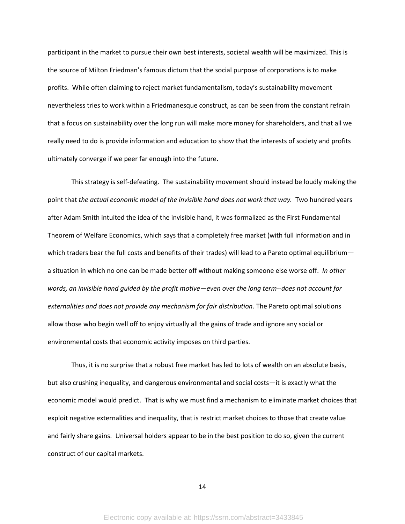participant in the market to pursue their own best interests, societal wealth will be maximized. This is the source of Milton Friedman's famous dictum that the social purpose of corporations is to make profits. While often claiming to reject market fundamentalism, today's sustainability movement nevertheless tries to work within a Friedmanesque construct, as can be seen from the constant refrain that a focus on sustainability over the long run will make more money for shareholders, and that all we really need to do is provide information and education to show that the interests of society and profits ultimately converge if we peer far enough into the future.

This strategy is self-defeating. The sustainability movement should instead be loudly making the point that *the actual economic model of the invisible hand does not work that way.* Two hundred years after Adam Smith intuited the idea of the invisible hand, it was formalized as the First Fundamental Theorem of Welfare Economics, which says that a completely free market (with full information and in which traders bear the full costs and benefits of their trades) will lead to a Pareto optimal equilibrium a situation in which no one can be made better off without making someone else worse off. *In other words, an invisible hand guided by the profit motive—even over the long term--does not account for externalities and does not provide any mechanism for fair distribution.* The Pareto optimal solutions allow those who begin well off to enjoy virtually all the gains of trade and ignore any social or environmental costs that economic activity imposes on third parties.

Thus, it is no surprise that a robust free market has led to lots of wealth on an absolute basis, but also crushing inequality, and dangerous environmental and social costs—it is exactly what the economic model would predict. That is why we must find a mechanism to eliminate market choices that exploit negative externalities and inequality, that is restrict market choices to those that create value and fairly share gains. Universal holders appear to be in the best position to do so, given the current construct of our capital markets.